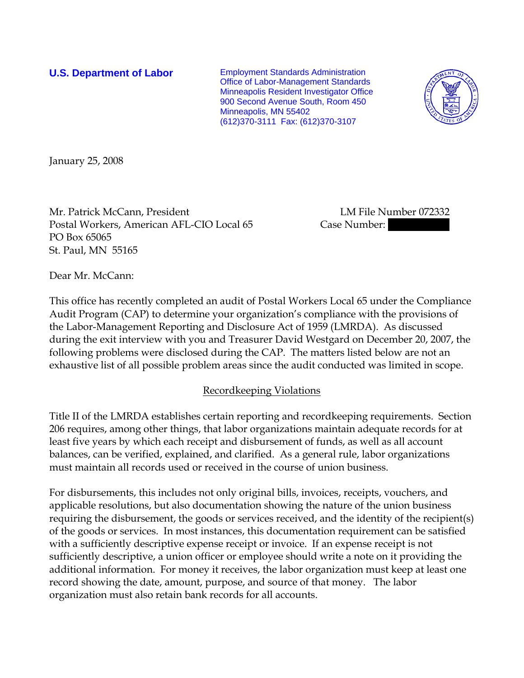**U.S. Department of Labor** Employment Standards Administration Office of Labor-Management Standards Minneapolis Resident Investigator Office 900 Second Avenue South, Room 450 Minneapolis, MN 55402 (612)370-3111 Fax: (612)370-3107



January 25, 2008

Mr. Patrick McCann, President Later and LM File Number 072332 Postal Workers, American AFL-CIO Local 65 Case Number: PO Box 65065 St. Paul, MN 55165

Dear Mr. McCann:

This office has recently completed an audit of Postal Workers Local 65 under the Compliance Audit Program (CAP) to determine your organization's compliance with the provisions of the Labor-Management Reporting and Disclosure Act of 1959 (LMRDA). As discussed during the exit interview with you and Treasurer David Westgard on December 20, 2007, the following problems were disclosed during the CAP. The matters listed below are not an exhaustive list of all possible problem areas since the audit conducted was limited in scope.

## Recordkeeping Violations

Title II of the LMRDA establishes certain reporting and recordkeeping requirements. Section 206 requires, among other things, that labor organizations maintain adequate records for at least five years by which each receipt and disbursement of funds, as well as all account balances, can be verified, explained, and clarified. As a general rule, labor organizations must maintain all records used or received in the course of union business.

For disbursements, this includes not only original bills, invoices, receipts, vouchers, and applicable resolutions, but also documentation showing the nature of the union business requiring the disbursement, the goods or services received, and the identity of the recipient(s) of the goods or services. In most instances, this documentation requirement can be satisfied with a sufficiently descriptive expense receipt or invoice. If an expense receipt is not sufficiently descriptive, a union officer or employee should write a note on it providing the additional information. For money it receives, the labor organization must keep at least one record showing the date, amount, purpose, and source of that money. The labor organization must also retain bank records for all accounts.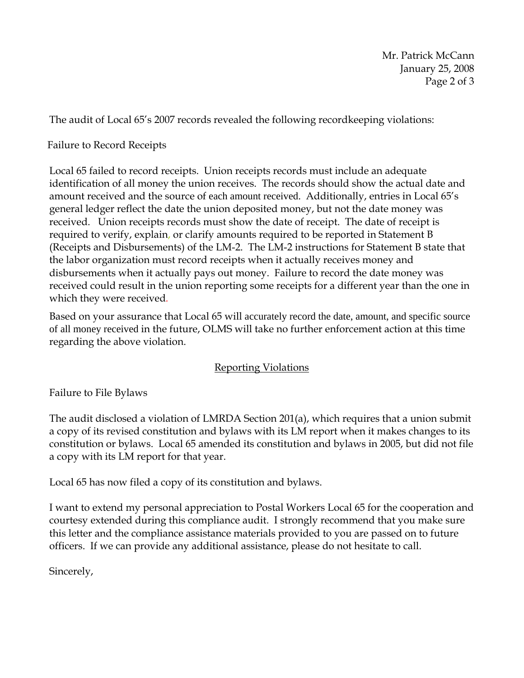Mr. Patrick McCann January 25, 2008 Page 2 of 3

The audit of Local 65's 2007 records revealed the following recordkeeping violations:

## Failure to Record Receipts

Local 65 failed to record receipts. Union receipts records must include an adequate identification of all money the union receives. The records should show the actual date and amount received and the source of each amount received. Additionally, entries in Local 65's general ledger reflect the date the union deposited money, but not the date money was received. Union receipts records must show the date of receipt. The date of receipt is required to verify, explain, or clarify amounts required to be reported in Statement B (Receipts and Disbursements) of the LM-2. The LM-2 instructions for Statement B state that the labor organization must record receipts when it actually receives money and disbursements when it actually pays out money. Failure to record the date money was received could result in the union reporting some receipts for a different year than the one in which they were received*.* 

Based on your assurance that Local 65 will accurately record the date, amount, and specific source of all money received in the future, OLMS will take no further enforcement action at this time regarding the above violation.

## Reporting Violations

Failure to File Bylaws

The audit disclosed a violation of LMRDA Section 201(a), which requires that a union submit a copy of its revised constitution and bylaws with its LM report when it makes changes to its constitution or bylaws. Local 65 amended its constitution and bylaws in 2005, but did not file a copy with its LM report for that year.

Local 65 has now filed a copy of its constitution and bylaws.

I want to extend my personal appreciation to Postal Workers Local 65 for the cooperation and courtesy extended during this compliance audit. I strongly recommend that you make sure this letter and the compliance assistance materials provided to you are passed on to future officers. If we can provide any additional assistance, please do not hesitate to call.

Sincerely,